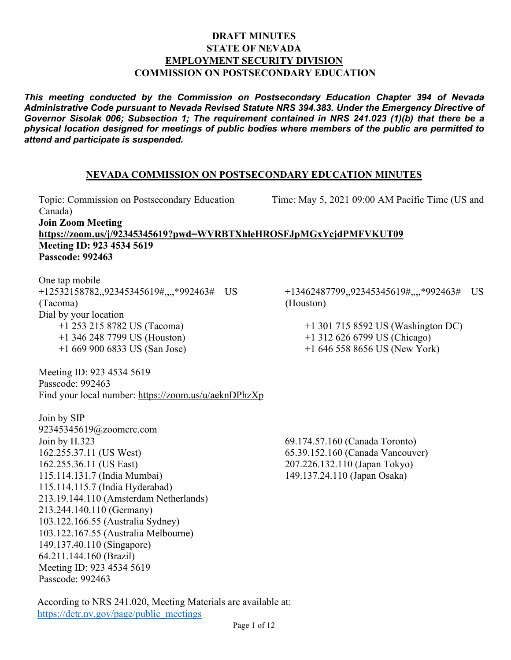# **DRAFT MINUTES STATE OF NEVADA EMPLOYMENT SECURITY DIVISION COMMISSION ON POSTSECONDARY EDUCATION**

*This meeting conducted by the Commission on Postsecondary Education Chapter 394 of Nevada Administrative Code pursuant to Nevada Revised Statute NRS 394.383. Under the Emergency Directive of Governor Sisolak 006; Subsection 1; The requirement contained in NRS 241.023 (1)(b) that there be a physical location designed for meetings of public bodies where members of the public are permitted to attend and participate is suspended.*

#### **NEVADA COMMISSION ON POSTSECONDARY EDUCATION MINUTES**

Topic: Commission on Postsecondary Education Time: May 5, 2021 09:00 AM Pacific Time (US and Canada) **Join Zoom Meeting <https://zoom.us/j/92345345619?pwd=WVRBTXhleHROSFJpMGxYcjdPMFVKUT09> Meeting ID: 923 4534 5619 Passcode: 992463** One tap mobile +12532158782,,92345345619#,,,,\*992463# US (Tacoma) +13462487799,,92345345619#,,,,\*992463# US (Houston) Dial by your location +1 253 215 8782 US (Tacoma) +1 346 248 7799 US (Houston) +1 669 900 6833 US (San Jose) +1 301 715 8592 US (Washington DC) +1 312 626 6799 US (Chicago) +1 646 558 8656 US (New York) Meeting ID: 923 4534 5619 Passcode: 992463 Find your local number:<https://zoom.us/u/aeknDPhzXp> Join by SIP [92345345619@zoomcrc.com](mailto:92345345619@zoomcrc.com) Join by H.323 162.255.37.11 (US West) 162.255.36.11 (US East) 69.174.57.160 (Canada Toronto) 65.39.152.160 (Canada Vancouver) 207.226.132.110 (Japan Tokyo)

149.137.24.110 (Japan Osaka)

According to NRS 241.020, Meeting Materials are available at: [https://detr.nv.gov/page/public\\_meetings](https://detr.nv.gov/page/public_meetings)

115.114.131.7 (India Mumbai) 115.114.115.7 (India Hyderabad)

213.244.140.110 (Germany)

149.137.40.110 (Singapore) 64.211.144.160 (Brazil)

Meeting ID: 923 4534 5619

Passcode: 992463

103.122.166.55 (Australia Sydney) 103.122.167.55 (Australia Melbourne)

213.19.144.110 (Amsterdam Netherlands)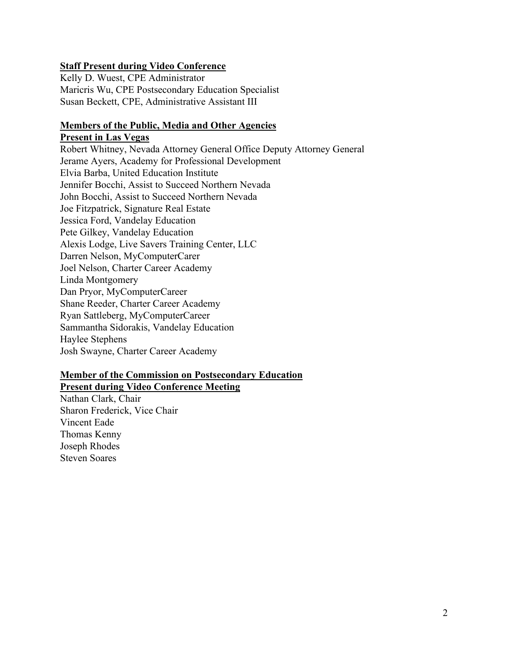## **Staff Present during Video Conference**

Kelly D. Wuest, CPE Administrator Maricris Wu, CPE Postsecondary Education Specialist Susan Beckett, CPE, Administrative Assistant III

## **Members of the Public, Media and Other Agencies Present in Las Vegas**

Robert Whitney, Nevada Attorney General Office Deputy Attorney General Jerame Ayers, Academy for Professional Development Elvia Barba, United Education Institute Jennifer Bocchi, Assist to Succeed Northern Nevada John Bocchi, Assist to Succeed Northern Nevada Joe Fitzpatrick, Signature Real Estate Jessica Ford, Vandelay Education Pete Gilkey, Vandelay Education Alexis Lodge, Live Savers Training Center, LLC Darren Nelson, MyComputerCarer Joel Nelson, Charter Career Academy Linda Montgomery Dan Pryor, MyComputerCareer Shane Reeder, Charter Career Academy Ryan Sattleberg, MyComputerCareer Sammantha Sidorakis, Vandelay Education Haylee Stephens Josh Swayne, Charter Career Academy

# **Member of the Commission on Postsecondary Education Present during Video Conference Meeting**

Nathan Clark, Chair Sharon Frederick, Vice Chair Vincent Eade Thomas Kenny Joseph Rhodes Steven Soares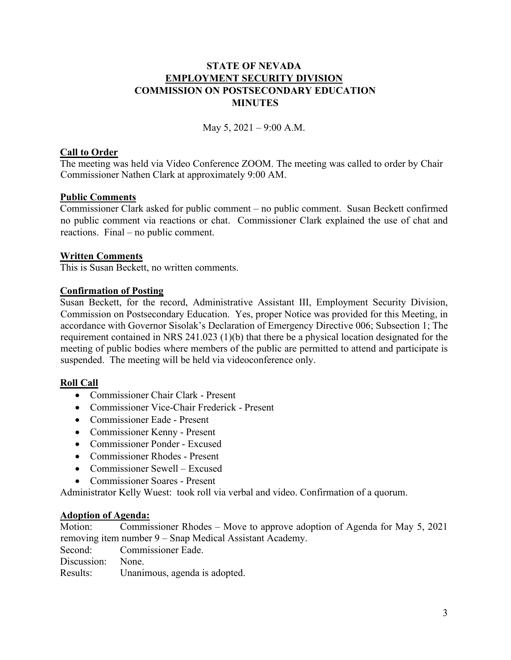# **STATE OF NEVADA EMPLOYMENT SECURITY DIVISION COMMISSION ON POSTSECONDARY EDUCATION MINUTES**

May 5, 2021 – 9:00 A.M.

## **Call to Order**

The meeting was held via Video Conference ZOOM. The meeting was called to order by Chair Commissioner Nathen Clark at approximately 9:00 AM.

## **Public Comments**

Commissioner Clark asked for public comment – no public comment. Susan Beckett confirmed no public comment via reactions or chat. Commissioner Clark explained the use of chat and reactions. Final – no public comment.

## **Written Comments**

This is Susan Beckett, no written comments.

## **Confirmation of Posting**

Susan Beckett, for the record, Administrative Assistant III, Employment Security Division, Commission on Postsecondary Education. Yes, proper Notice was provided for this Meeting, in accordance with Governor Sisolak's Declaration of Emergency Directive 006; Subsection 1; The requirement contained in NRS 241.023 (1)(b) that there be a physical location designated for the meeting of public bodies where members of the public are permitted to attend and participate is suspended. The meeting will be held via videoconference only.

# **Roll Call**

- Commissioner Chair Clark Present
- Commissioner Vice-Chair Frederick Present
- Commissioner Eade Present
- Commissioner Kenny Present
- Commissioner Ponder Excused
- Commissioner Rhodes Present
- Commissioner Sewell Excused
- Commissioner Soares Present

Administrator Kelly Wuest: took roll via verbal and video. Confirmation of a quorum.

## **Adoption of Agenda:**

Motion: Commissioner Rhodes – Move to approve adoption of Agenda for May 5, 2021 removing item number 9 – Snap Medical Assistant Academy.<br>Second: Commissioner Eade.

Commissioner Eade.

Discussion: None.

Results: Unanimous, agenda is adopted.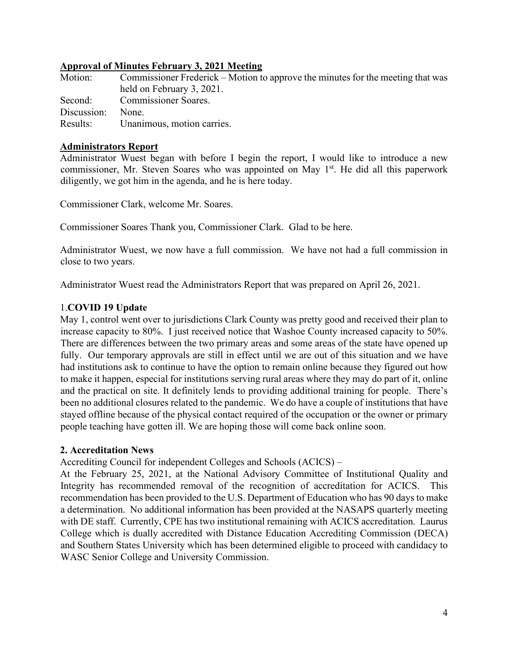## **Approval of Minutes February 3, 2021 Meeting**

| Motion:     | Commissioner Frederick – Motion to approve the minutes for the meeting that was |
|-------------|---------------------------------------------------------------------------------|
|             | held on February 3, 2021.                                                       |
| Second:     | <b>Commissioner Soares.</b>                                                     |
| Discussion: | None.                                                                           |
| Results:    | Unanimous, motion carries.                                                      |

## **Administrators Report**

Administrator Wuest began with before I begin the report, I would like to introduce a new commissioner, Mr. Steven Soares who was appointed on May  $1<sup>st</sup>$ . He did all this paperwork diligently, we got him in the agenda, and he is here today.

Commissioner Clark, welcome Mr. Soares.

Commissioner Soares Thank you, Commissioner Clark. Glad to be here.

Administrator Wuest, we now have a full commission. We have not had a full commission in close to two years.

Administrator Wuest read the Administrators Report that was prepared on April 26, 2021.

# 1.**COVID 19 Update**

May 1, control went over to jurisdictions Clark County was pretty good and received their plan to increase capacity to 80%. I just received notice that Washoe County increased capacity to 50%. There are differences between the two primary areas and some areas of the state have opened up fully. Our temporary approvals are still in effect until we are out of this situation and we have had institutions ask to continue to have the option to remain online because they figured out how to make it happen, especial for institutions serving rural areas where they may do part of it, online and the practical on site. It definitely lends to providing additional training for people. There's been no additional closures related to the pandemic. We do have a couple of institutions that have stayed offline because of the physical contact required of the occupation or the owner or primary people teaching have gotten ill. We are hoping those will come back online soon.

## **2. Accreditation News**

Accrediting Council for independent Colleges and Schools (ACICS) –

At the February 25, 2021, at the National Advisory Committee of Institutional Quality and Integrity has recommended removal of the recognition of accreditation for ACICS. This recommendation has been provided to the U.S. Department of Education who has 90 days to make a determination. No additional information has been provided at the NASAPS quarterly meeting with DE staff. Currently, CPE has two institutional remaining with ACICS accreditation. Laurus College which is dually accredited with Distance Education Accrediting Commission (DECA) and Southern States University which has been determined eligible to proceed with candidacy to WASC Senior College and University Commission.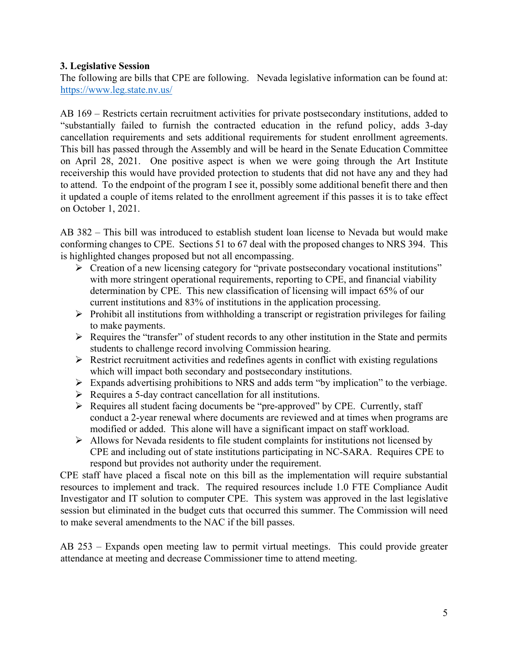# **3. Legislative Session**

The following are bills that CPE are following. Nevada legislative information can be found at: <https://www.leg.state.nv.us/>

AB 169 – Restricts certain recruitment activities for private postsecondary institutions, added to "substantially failed to furnish the contracted education in the refund policy, adds 3-day cancellation requirements and sets additional requirements for student enrollment agreements. This bill has passed through the Assembly and will be heard in the Senate Education Committee on April 28, 2021. One positive aspect is when we were going through the Art Institute receivership this would have provided protection to students that did not have any and they had to attend. To the endpoint of the program I see it, possibly some additional benefit there and then it updated a couple of items related to the enrollment agreement if this passes it is to take effect on October 1, 2021.

AB 382 – This bill was introduced to establish student loan license to Nevada but would make conforming changes to CPE. Sections 51 to 67 deal with the proposed changes to NRS 394. This is highlighted changes proposed but not all encompassing.

- Creation of a new licensing category for "private postsecondary vocational institutions" with more stringent operational requirements, reporting to CPE, and financial viability determination by CPE. This new classification of licensing will impact 65% of our current institutions and 83% of institutions in the application processing.
- $\triangleright$  Prohibit all institutions from withholding a transcript or registration privileges for failing to make payments.
- $\triangleright$  Requires the "transfer" of student records to any other institution in the State and permits students to challenge record involving Commission hearing.
- $\triangleright$  Restrict recruitment activities and redefines agents in conflict with existing regulations which will impact both secondary and postsecondary institutions.
- $\triangleright$  Expands advertising prohibitions to NRS and adds term "by implication" to the verbiage.
- $\triangleright$  Requires a 5-day contract cancellation for all institutions.
- $\triangleright$  Requires all student facing documents be "pre-approved" by CPE. Currently, staff conduct a 2-year renewal where documents are reviewed and at times when programs are modified or added. This alone will have a significant impact on staff workload.
- $\triangleright$  Allows for Nevada residents to file student complaints for institutions not licensed by CPE and including out of state institutions participating in NC-SARA. Requires CPE to respond but provides not authority under the requirement.

CPE staff have placed a fiscal note on this bill as the implementation will require substantial resources to implement and track. The required resources include 1.0 FTE Compliance Audit Investigator and IT solution to computer CPE. This system was approved in the last legislative session but eliminated in the budget cuts that occurred this summer. The Commission will need to make several amendments to the NAC if the bill passes.

AB 253 – Expands open meeting law to permit virtual meetings. This could provide greater attendance at meeting and decrease Commissioner time to attend meeting.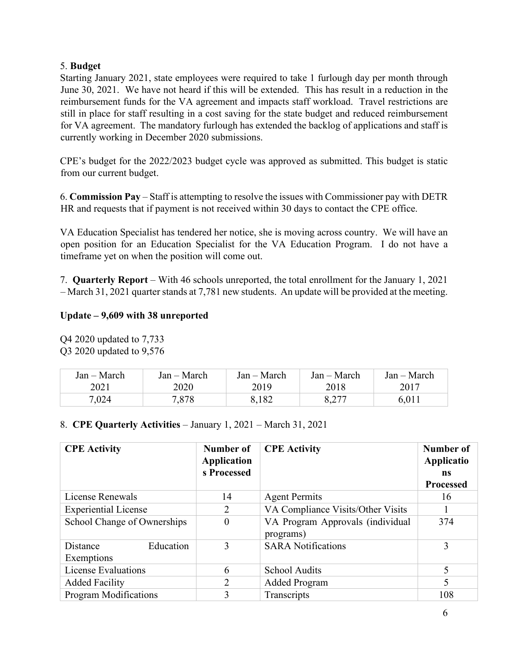# 5. **Budget**

Starting January 2021, state employees were required to take 1 furlough day per month through June 30, 2021. We have not heard if this will be extended. This has result in a reduction in the reimbursement funds for the VA agreement and impacts staff workload. Travel restrictions are still in place for staff resulting in a cost saving for the state budget and reduced reimbursement for VA agreement. The mandatory furlough has extended the backlog of applications and staff is currently working in December 2020 submissions.

CPE's budget for the 2022/2023 budget cycle was approved as submitted. This budget is static from our current budget.

6. **Commission Pay** – Staff is attempting to resolve the issues with Commissioner pay with DETR HR and requests that if payment is not received within 30 days to contact the CPE office.

VA Education Specialist has tendered her notice, she is moving across country. We will have an open position for an Education Specialist for the VA Education Program. I do not have a timeframe yet on when the position will come out.

7. **Quarterly Report** – With 46 schools unreported, the total enrollment for the January 1, 2021 – March 31, 2021 quarter stands at 7,781 new students. An update will be provided at the meeting.

# **Update – 9,609 with 38 unreported**

Q4 2020 updated to 7,733 Q3 2020 updated to 9,576

| Jan – March | Jan – March | Jan – March | Jan – March | Jan – March |
|-------------|-------------|-------------|-------------|-------------|
| 2021        | 2020        | 2019        | 2018        | 2017        |
| 7,024       | 7,878       | 8,182       | 8,277       | 6,011       |

# 8. **CPE Quarterly Activities** – January 1, 2021 – March 31, 2021

| <b>CPE</b> Activity                 | Number of<br><b>Application</b><br>s Processed | <b>CPE Activity</b>                           | Number of<br>Applicatio<br><b>ns</b><br><b>Processed</b> |
|-------------------------------------|------------------------------------------------|-----------------------------------------------|----------------------------------------------------------|
| License Renewals                    | 14                                             | <b>Agent Permits</b>                          | 16                                                       |
| <b>Experiential License</b>         | 2                                              | VA Compliance Visits/Other Visits             |                                                          |
| School Change of Ownerships         | $\theta$                                       | VA Program Approvals (individual<br>programs) | 374                                                      |
| Education<br>Distance<br>Exemptions | 3                                              | <b>SARA Notifications</b>                     | 3                                                        |
| License Evaluations                 | 6                                              | <b>School Audits</b>                          | 5                                                        |
| <b>Added Facility</b>               | 2                                              | <b>Added Program</b>                          | 5                                                        |
| Program Modifications               | 3                                              | Transcripts                                   | 108                                                      |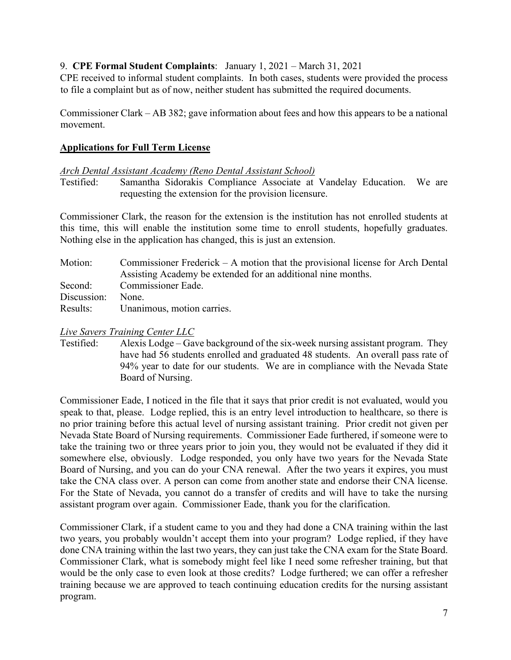# 9. **CPE Formal Student Complaints**: January 1, 2021 – March 31, 2021

CPE received to informal student complaints. In both cases, students were provided the process to file a complaint but as of now, neither student has submitted the required documents.

Commissioner Clark – AB 382; gave information about fees and how this appears to be a national movement.

# **Applications for Full Term License**

## *Arch Dental Assistant Academy (Reno Dental Assistant School)*

Testified: Samantha Sidorakis Compliance Associate at Vandelay Education. We are requesting the extension for the provision licensure.

Commissioner Clark, the reason for the extension is the institution has not enrolled students at this time, this will enable the institution some time to enroll students, hopefully graduates. Nothing else in the application has changed, this is just an extension.

| Motion:     | Commissioner Frederick – A motion that the provisional license for Arch Dental |
|-------------|--------------------------------------------------------------------------------|
|             | Assisting Academy be extended for an additional nine months.                   |
| Second:     | Commissioner Eade.                                                             |
| Discussion: | None.                                                                          |
| Results:    | Unanimous, motion carries.                                                     |

# *Live Savers Training Center LLC*

Testified: Alexis Lodge – Gave background of the six-week nursing assistant program. They have had 56 students enrolled and graduated 48 students. An overall pass rate of 94% year to date for our students. We are in compliance with the Nevada State Board of Nursing.

Commissioner Eade, I noticed in the file that it says that prior credit is not evaluated, would you speak to that, please. Lodge replied, this is an entry level introduction to healthcare, so there is no prior training before this actual level of nursing assistant training. Prior credit not given per Nevada State Board of Nursing requirements. Commissioner Eade furthered, if someone were to take the training two or three years prior to join you, they would not be evaluated if they did it somewhere else, obviously. Lodge responded, you only have two years for the Nevada State Board of Nursing, and you can do your CNA renewal. After the two years it expires, you must take the CNA class over. A person can come from another state and endorse their CNA license. For the State of Nevada, you cannot do a transfer of credits and will have to take the nursing assistant program over again. Commissioner Eade, thank you for the clarification.

Commissioner Clark, if a student came to you and they had done a CNA training within the last two years, you probably wouldn't accept them into your program? Lodge replied, if they have done CNA training within the last two years, they can just take the CNA exam for the State Board. Commissioner Clark, what is somebody might feel like I need some refresher training, but that would be the only case to even look at those credits? Lodge furthered; we can offer a refresher training because we are approved to teach continuing education credits for the nursing assistant program.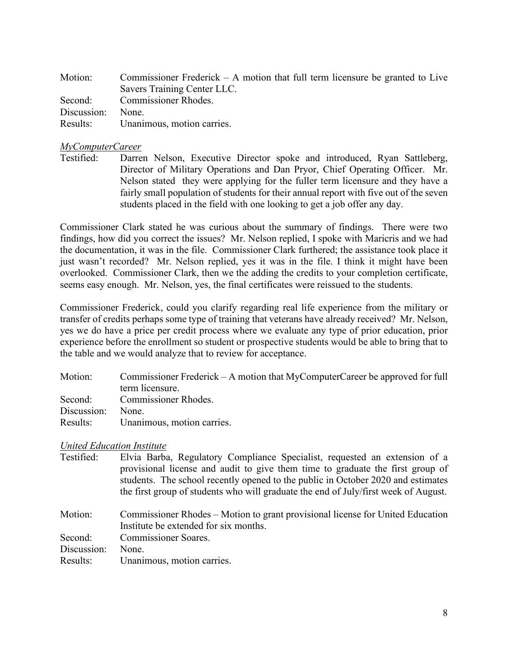| Motion:     | Commissioner Frederick $- A$ motion that full term licensure be granted to Live |
|-------------|---------------------------------------------------------------------------------|
|             | Savers Training Center LLC.                                                     |
| Second:     | <b>Commissioner Rhodes.</b>                                                     |
| Discussion: | None.                                                                           |
| Results:    | Unanimous, motion carries.                                                      |

## *MyComputerCareer*

Testified: Darren Nelson, Executive Director spoke and introduced, Ryan Sattleberg, Director of Military Operations and Dan Pryor, Chief Operating Officer. Mr. Nelson stated they were applying for the fuller term licensure and they have a fairly small population of students for their annual report with five out of the seven students placed in the field with one looking to get a job offer any day.

Commissioner Clark stated he was curious about the summary of findings. There were two findings, how did you correct the issues? Mr. Nelson replied, I spoke with Maricris and we had the documentation, it was in the file. Commissioner Clark furthered; the assistance took place it just wasn't recorded? Mr. Nelson replied, yes it was in the file. I think it might have been overlooked. Commissioner Clark, then we the adding the credits to your completion certificate, seems easy enough. Mr. Nelson, yes, the final certificates were reissued to the students.

Commissioner Frederick, could you clarify regarding real life experience from the military or transfer of credits perhaps some type of training that veterans have already received? Mr. Nelson, yes we do have a price per credit process where we evaluate any type of prior education, prior experience before the enrollment so student or prospective students would be able to bring that to the table and we would analyze that to review for acceptance.

| Motion:     | Commissioner Frederick – A motion that MyComputerCareer be approved for full |
|-------------|------------------------------------------------------------------------------|
|             | term licensure.                                                              |
| Second:     | Commissioner Rhodes.                                                         |
| Discussion: | None.                                                                        |
| Results:    | Unanimous, motion carries.                                                   |

## *United Education Institute*

| Testified:  | Elvia Barba, Regulatory Compliance Specialist, requested an extension of a<br>provisional license and audit to give them time to graduate the first group of<br>students. The school recently opened to the public in October 2020 and estimates<br>the first group of students who will graduate the end of July/first week of August. |
|-------------|-----------------------------------------------------------------------------------------------------------------------------------------------------------------------------------------------------------------------------------------------------------------------------------------------------------------------------------------|
| Motion:     | Commissioner Rhodes – Motion to grant provisional license for United Education<br>Institute be extended for six months.                                                                                                                                                                                                                 |
| Second:     | <b>Commissioner Soares.</b>                                                                                                                                                                                                                                                                                                             |
| Discussion: | None.                                                                                                                                                                                                                                                                                                                                   |
| Results:    | Unanimous, motion carries.                                                                                                                                                                                                                                                                                                              |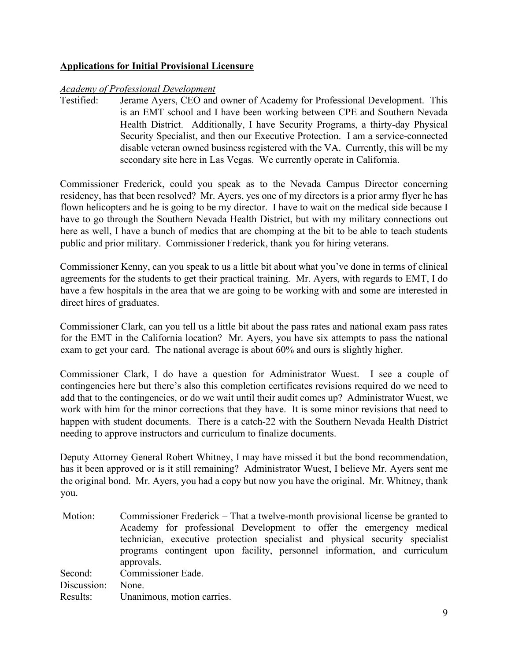# **Applications for Initial Provisional Licensure**

## *Academy of Professional Development*

Testified: Jerame Ayers, CEO and owner of Academy for Professional Development. This is an EMT school and I have been working between CPE and Southern Nevada Health District. Additionally, I have Security Programs, a thirty-day Physical Security Specialist, and then our Executive Protection. I am a service-connected disable veteran owned business registered with the VA. Currently, this will be my secondary site here in Las Vegas. We currently operate in California.

Commissioner Frederick, could you speak as to the Nevada Campus Director concerning residency, has that been resolved? Mr. Ayers, yes one of my directors is a prior army flyer he has flown helicopters and he is going to be my director. I have to wait on the medical side because I have to go through the Southern Nevada Health District, but with my military connections out here as well, I have a bunch of medics that are chomping at the bit to be able to teach students public and prior military. Commissioner Frederick, thank you for hiring veterans.

Commissioner Kenny, can you speak to us a little bit about what you've done in terms of clinical agreements for the students to get their practical training. Mr. Ayers, with regards to EMT, I do have a few hospitals in the area that we are going to be working with and some are interested in direct hires of graduates.

Commissioner Clark, can you tell us a little bit about the pass rates and national exam pass rates for the EMT in the California location? Mr. Ayers, you have six attempts to pass the national exam to get your card. The national average is about 60% and ours is slightly higher.

Commissioner Clark, I do have a question for Administrator Wuest. I see a couple of contingencies here but there's also this completion certificates revisions required do we need to add that to the contingencies, or do we wait until their audit comes up? Administrator Wuest, we work with him for the minor corrections that they have. It is some minor revisions that need to happen with student documents. There is a catch-22 with the Southern Nevada Health District needing to approve instructors and curriculum to finalize documents.

Deputy Attorney General Robert Whitney, I may have missed it but the bond recommendation, has it been approved or is it still remaining? Administrator Wuest, I believe Mr. Ayers sent me the original bond. Mr. Ayers, you had a copy but now you have the original. Mr. Whitney, thank you.

Motion: Commissioner Frederick – That a twelve-month provisional license be granted to Academy for professional Development to offer the emergency medical technician, executive protection specialist and physical security specialist programs contingent upon facility, personnel information, and curriculum approvals. Second: Commissioner Eade. Discussion: None. Results: Unanimous, motion carries.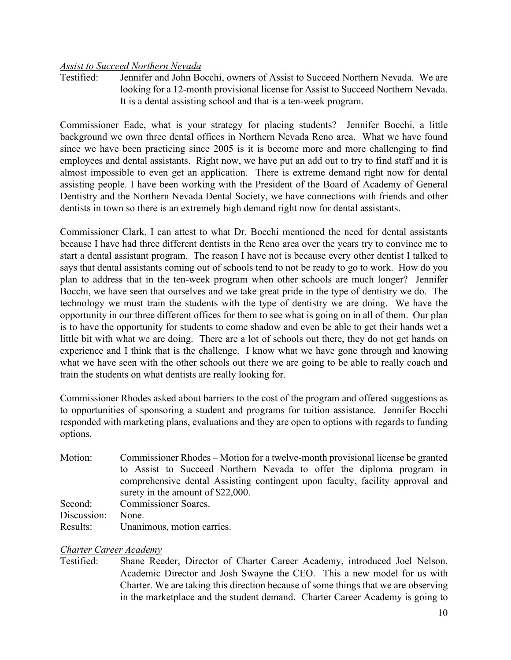## *Assist to Succeed Northern Nevada*

Testified: Jennifer and John Bocchi, owners of Assist to Succeed Northern Nevada. We are looking for a 12-month provisional license for Assist to Succeed Northern Nevada. It is a dental assisting school and that is a ten-week program.

Commissioner Eade, what is your strategy for placing students? Jennifer Bocchi, a little background we own three dental offices in Northern Nevada Reno area. What we have found since we have been practicing since 2005 is it is become more and more challenging to find employees and dental assistants. Right now, we have put an add out to try to find staff and it is almost impossible to even get an application. There is extreme demand right now for dental assisting people. I have been working with the President of the Board of Academy of General Dentistry and the Northern Nevada Dental Society, we have connections with friends and other dentists in town so there is an extremely high demand right now for dental assistants.

Commissioner Clark, I can attest to what Dr. Bocchi mentioned the need for dental assistants because I have had three different dentists in the Reno area over the years try to convince me to start a dental assistant program. The reason I have not is because every other dentist I talked to says that dental assistants coming out of schools tend to not be ready to go to work. How do you plan to address that in the ten-week program when other schools are much longer? Jennifer Bocchi, we have seen that ourselves and we take great pride in the type of dentistry we do. The technology we must train the students with the type of dentistry we are doing. We have the opportunity in our three different offices for them to see what is going on in all of them. Our plan is to have the opportunity for students to come shadow and even be able to get their hands wet a little bit with what we are doing. There are a lot of schools out there, they do not get hands on experience and I think that is the challenge. I know what we have gone through and knowing what we have seen with the other schools out there we are going to be able to really coach and train the students on what dentists are really looking for.

Commissioner Rhodes asked about barriers to the cost of the program and offered suggestions as to opportunities of sponsoring a student and programs for tuition assistance. Jennifer Bocchi responded with marketing plans, evaluations and they are open to options with regards to funding options.

| Motion:     | Commissioner Rhodes – Motion for a twelve-month provisional license be granted |  |  |
|-------------|--------------------------------------------------------------------------------|--|--|
|             | to Assist to Succeed Northern Nevada to offer the diploma program in           |  |  |
|             | comprehensive dental Assisting contingent upon faculty, facility approval and  |  |  |
|             | surety in the amount of \$22,000.                                              |  |  |
| Second:     | <b>Commissioner Soares.</b>                                                    |  |  |
| Discussion: | None.                                                                          |  |  |
| Results:    | Unanimous, motion carries.                                                     |  |  |

## *Charter Career Academy*

Testified: Shane Reeder, Director of Charter Career Academy, introduced Joel Nelson, Academic Director and Josh Swayne the CEO. This a new model for us with Charter. We are taking this direction because of some things that we are observing in the marketplace and the student demand. Charter Career Academy is going to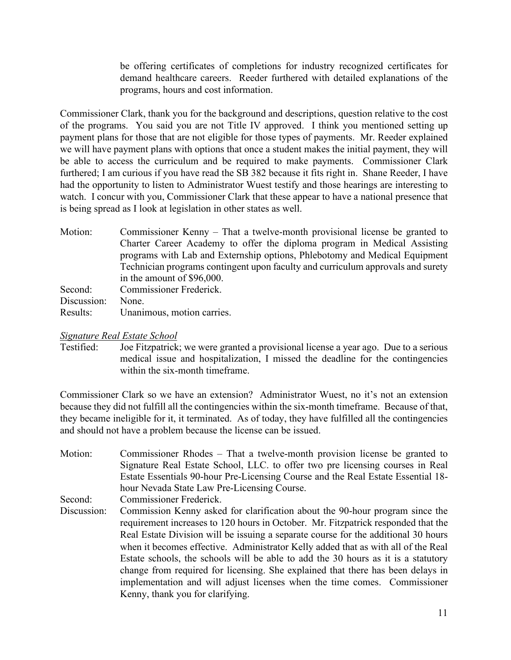be offering certificates of completions for industry recognized certificates for demand healthcare careers. Reeder furthered with detailed explanations of the programs, hours and cost information.

Commissioner Clark, thank you for the background and descriptions, question relative to the cost of the programs. You said you are not Title IV approved. I think you mentioned setting up payment plans for those that are not eligible for those types of payments. Mr. Reeder explained we will have payment plans with options that once a student makes the initial payment, they will be able to access the curriculum and be required to make payments. Commissioner Clark furthered; I am curious if you have read the SB 382 because it fits right in. Shane Reeder, I have had the opportunity to listen to Administrator Wuest testify and those hearings are interesting to watch. I concur with you, Commissioner Clark that these appear to have a national presence that is being spread as I look at legislation in other states as well.

Motion: Commissioner Kenny – That a twelve-month provisional license be granted to Charter Career Academy to offer the diploma program in Medical Assisting programs with Lab and Externship options, Phlebotomy and Medical Equipment Technician programs contingent upon faculty and curriculum approvals and surety in the amount of \$96,000. Second: Commissioner Frederick.

| Discussion: None. |                            |
|-------------------|----------------------------|
| Results:          | Unanimous, motion carries. |

# *Signature Real Estate School*

Testified: Joe Fitzpatrick; we were granted a provisional license a year ago. Due to a serious medical issue and hospitalization, I missed the deadline for the contingencies within the six-month timeframe.

Commissioner Clark so we have an extension? Administrator Wuest, no it's not an extension because they did not fulfill all the contingencies within the six-month timeframe. Because of that, they became ineligible for it, it terminated. As of today, they have fulfilled all the contingencies and should not have a problem because the license can be issued.

Motion: Commissioner Rhodes – That a twelve-month provision license be granted to Signature Real Estate School, LLC. to offer two pre licensing courses in Real Estate Essentials 90-hour Pre-Licensing Course and the Real Estate Essential 18 hour Nevada State Law Pre-Licensing Course.

Second: Commissioner Frederick.

Discussion: Commission Kenny asked for clarification about the 90-hour program since the requirement increases to 120 hours in October. Mr. Fitzpatrick responded that the Real Estate Division will be issuing a separate course for the additional 30 hours when it becomes effective. Administrator Kelly added that as with all of the Real Estate schools, the schools will be able to add the 30 hours as it is a statutory change from required for licensing. She explained that there has been delays in implementation and will adjust licenses when the time comes. Commissioner Kenny, thank you for clarifying.